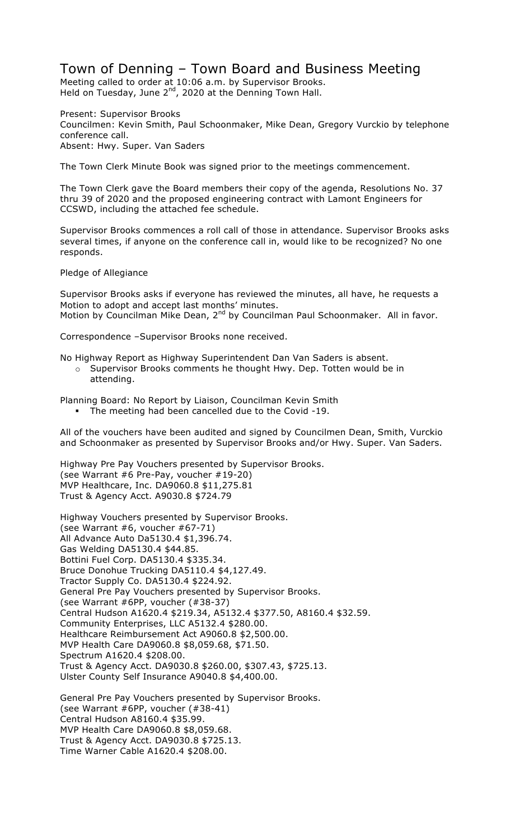## Town of Denning – Town Board and Business Meeting

Meeting called to order at 10:06 a.m. by Supervisor Brooks. Held on Tuesday, June  $2^{nd}$ , 2020 at the Denning Town Hall.

Present: Supervisor Brooks Councilmen: Kevin Smith, Paul Schoonmaker, Mike Dean, Gregory Vurckio by telephone conference call. Absent: Hwy. Super. Van Saders

The Town Clerk Minute Book was signed prior to the meetings commencement.

The Town Clerk gave the Board members their copy of the agenda, Resolutions No. 37 thru 39 of 2020 and the proposed engineering contract with Lamont Engineers for CCSWD, including the attached fee schedule.

Supervisor Brooks commences a roll call of those in attendance. Supervisor Brooks asks several times, if anyone on the conference call in, would like to be recognized? No one responds.

Pledge of Allegiance

Supervisor Brooks asks if everyone has reviewed the minutes, all have, he requests a Motion to adopt and accept last months' minutes. Motion by Councilman Mike Dean, 2<sup>nd</sup> by Councilman Paul Schoonmaker. All in favor.

Correspondence –Supervisor Brooks none received.

No Highway Report as Highway Superintendent Dan Van Saders is absent.

o Supervisor Brooks comments he thought Hwy. Dep. Totten would be in attending.

Planning Board: No Report by Liaison, Councilman Kevin Smith

! The meeting had been cancelled due to the Covid -19.

All of the vouchers have been audited and signed by Councilmen Dean, Smith, Vurckio and Schoonmaker as presented by Supervisor Brooks and/or Hwy. Super. Van Saders.

Highway Pre Pay Vouchers presented by Supervisor Brooks. (see Warrant #6 Pre-Pay, voucher #19-20) MVP Healthcare, Inc. DA9060.8 \$11,275.81 Trust & Agency Acct. A9030.8 \$724.79

Highway Vouchers presented by Supervisor Brooks. (see Warrant #6, voucher #67-71) All Advance Auto Da5130.4 \$1,396.74. Gas Welding DA5130.4 \$44.85. Bottini Fuel Corp. DA5130.4 \$335.34. Bruce Donohue Trucking DA5110.4 \$4,127.49. Tractor Supply Co. DA5130.4 \$224.92. General Pre Pay Vouchers presented by Supervisor Brooks. (see Warrant #6PP, voucher (#38-37) Central Hudson A1620.4 \$219.34, A5132.4 \$377.50, A8160.4 \$32.59. Community Enterprises, LLC A5132.4 \$280.00. Healthcare Reimbursement Act A9060.8 \$2,500.00. MVP Health Care DA9060.8 \$8,059.68, \$71.50. Spectrum A1620.4 \$208.00. Trust & Agency Acct. DA9030.8 \$260.00, \$307.43, \$725.13. Ulster County Self Insurance A9040.8 \$4,400.00. General Pre Pay Vouchers presented by Supervisor Brooks. (see Warrant #6PP, voucher (#38-41) Central Hudson A8160.4 \$35.99. MVP Health Care DA9060.8 \$8,059.68.

Trust & Agency Acct. DA9030.8 \$725.13. Time Warner Cable A1620.4 \$208.00.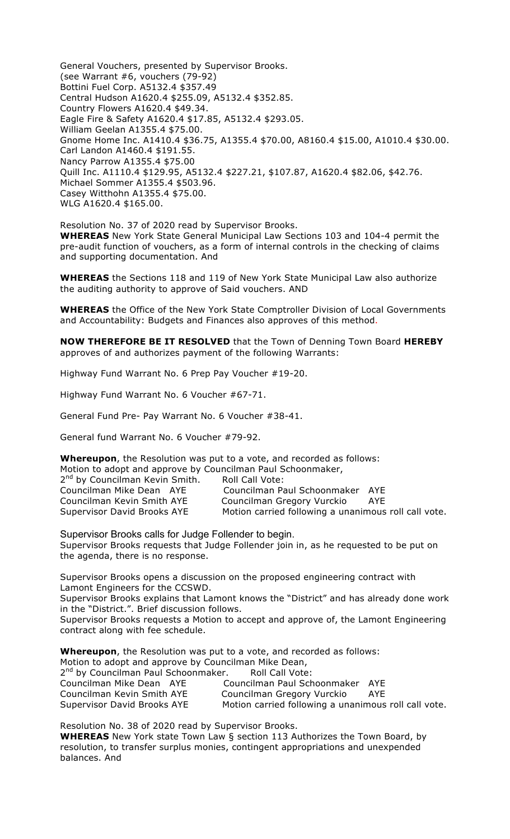General Vouchers, presented by Supervisor Brooks. (see Warrant #6, vouchers (79-92) Bottini Fuel Corp. A5132.4 \$357.49 Central Hudson A1620.4 \$255.09, A5132.4 \$352.85. Country Flowers A1620.4 \$49.34. Eagle Fire & Safety A1620.4 \$17.85, A5132.4 \$293.05. William Geelan A1355.4 \$75.00. Gnome Home Inc. A1410.4 \$36.75, A1355.4 \$70.00, A8160.4 \$15.00, A1010.4 \$30.00. Carl Landon A1460.4 \$191.55. Nancy Parrow A1355.4 \$75.00 Quill Inc. A1110.4 \$129.95, A5132.4 \$227.21, \$107.87, A1620.4 \$82.06, \$42.76. Michael Sommer A1355.4 \$503.96. Casey Witthohn A1355.4 \$75.00. WLG A1620.4 \$165.00.

Resolution No. 37 of 2020 read by Supervisor Brooks. **WHEREAS** New York State General Municipal Law Sections 103 and 104-4 permit the pre-audit function of vouchers, as a form of internal controls in the checking of claims and supporting documentation. And

**WHEREAS** the Sections 118 and 119 of New York State Municipal Law also authorize the auditing authority to approve of Said vouchers. AND

**WHEREAS** the Office of the New York State Comptroller Division of Local Governments and Accountability: Budgets and Finances also approves of this method.

**NOW THEREFORE BE IT RESOLVED** that the Town of Denning Town Board **HEREBY** approves of and authorizes payment of the following Warrants:

Highway Fund Warrant No. 6 Prep Pay Voucher #19-20.

Highway Fund Warrant No. 6 Voucher #67-71.

General Fund Pre- Pay Warrant No. 6 Voucher #38-41.

General fund Warrant No. 6 Voucher #79-92.

**Whereupon**, the Resolution was put to a vote, and recorded as follows: Motion to adopt and approve by Councilman Paul Schoonmaker,

| 2 <sup>nd</sup> by Councilman Kevin Smith. | Roll Call Vote:                                      |     |
|--------------------------------------------|------------------------------------------------------|-----|
| Councilman Mike Dean AYE                   | Councilman Paul Schoonmaker AYE                      |     |
| Councilman Kevin Smith AYE                 | Councilman Gregory Vurckio                           | AYE |
| Supervisor David Brooks AYE                | Motion carried following a unanimous roll call vote. |     |

Supervisor Brooks calls for Judge Follender to begin. Supervisor Brooks requests that Judge Follender join in, as he requested to be put on the agenda, there is no response.

Supervisor Brooks opens a discussion on the proposed engineering contract with Lamont Engineers for the CCSWD.

Supervisor Brooks explains that Lamont knows the "District" and has already done work in the "District.". Brief discussion follows.

Supervisor Brooks requests a Motion to accept and approve of, the Lamont Engineering contract along with fee schedule.

**Whereupon**, the Resolution was put to a vote, and recorded as follows: Motion to adopt and approve by Councilman Mike Dean, 2<sup>nd</sup> by Councilman Paul Schoonmaker. Roll Call Vote: Councilman Mike Dean AYE Councilman Paul Schoonmaker AYE Councilman Kevin Smith AYE Councilman Gregory Vurckio AYE Supervisor David Brooks AYE Motion carried following a unanimous roll call vote.

Resolution No. 38 of 2020 read by Supervisor Brooks.

**WHEREAS** New York state Town Law § section 113 Authorizes the Town Board, by resolution, to transfer surplus monies, contingent appropriations and unexpended balances. And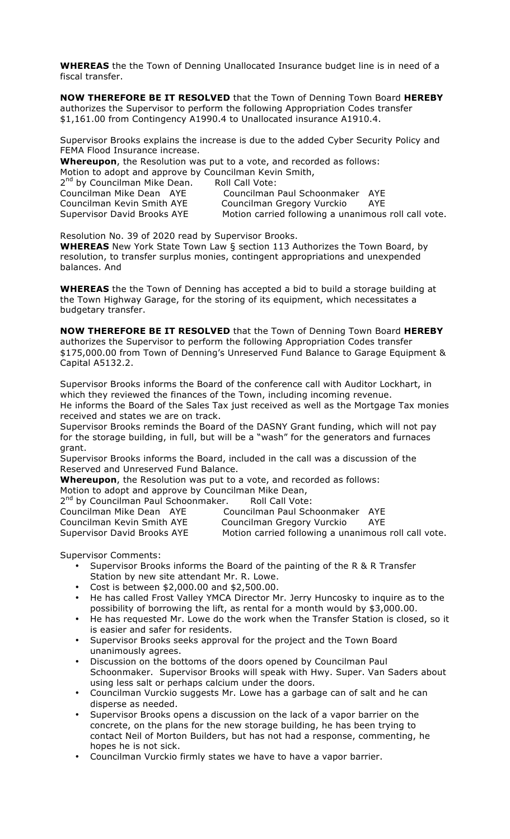**WHEREAS** the the Town of Denning Unallocated Insurance budget line is in need of a fiscal transfer.

**NOW THEREFORE BE IT RESOLVED** that the Town of Denning Town Board **HEREBY**  authorizes the Supervisor to perform the following Appropriation Codes transfer \$1,161.00 from Contingency A1990.4 to Unallocated insurance A1910.4.

Supervisor Brooks explains the increase is due to the added Cyber Security Policy and FEMA Flood Insurance increase.

**Whereupon**, the Resolution was put to a vote, and recorded as follows: Motion to adopt and approve by Councilman Kevin Smith, 2<sup>nd</sup> by Councilman Mike Dean. Roll Call Vote: Councilman Mike Dean AYE Councilman Paul Schoonmaker AYE Councilman Kevin Smith AYE Councilman Gregory Vurckio AYE

Supervisor David Brooks AYE Motion carried following a unanimous roll call vote.

Resolution No. 39 of 2020 read by Supervisor Brooks.

**WHEREAS** New York State Town Law § section 113 Authorizes the Town Board, by resolution, to transfer surplus monies, contingent appropriations and unexpended balances. And

**WHEREAS** the the Town of Denning has accepted a bid to build a storage building at the Town Highway Garage, for the storing of its equipment, which necessitates a budgetary transfer.

**NOW THEREFORE BE IT RESOLVED** that the Town of Denning Town Board **HEREBY** authorizes the Supervisor to perform the following Appropriation Codes transfer \$175,000.00 from Town of Denning's Unreserved Fund Balance to Garage Equipment & Capital A5132.2.

Supervisor Brooks informs the Board of the conference call with Auditor Lockhart, in which they reviewed the finances of the Town, including incoming revenue. He informs the Board of the Sales Tax just received as well as the Mortgage Tax monies received and states we are on track.

Supervisor Brooks reminds the Board of the DASNY Grant funding, which will not pay for the storage building, in full, but will be a "wash" for the generators and furnaces grant.

Supervisor Brooks informs the Board, included in the call was a discussion of the Reserved and Unreserved Fund Balance.

**Whereupon**, the Resolution was put to a vote, and recorded as follows:

Motion to adopt and approve by Councilman Mike Dean,

2<sup>nd</sup> by Councilman Paul Schoonmaker. Roll Call Vote:

| Councilman Mike Dean AYE           | Councilman Paul Schoonmaker AYE                      |     |
|------------------------------------|------------------------------------------------------|-----|
| Councilman Kevin Smith AYE         | Councilman Gregory Vurckio                           | AYE |
| <b>Supervisor David Brooks AYE</b> | Motion carried following a unanimous roll call vote. |     |

Supervisor Comments:

- Supervisor Brooks informs the Board of the painting of the R & R Transfer Station by new site attendant Mr. R. Lowe.
- Cost is between \$2,000.00 and \$2,500.00.
- He has called Frost Valley YMCA Director Mr. Jerry Huncosky to inquire as to the possibility of borrowing the lift, as rental for a month would by \$3,000.00.
- He has requested Mr. Lowe do the work when the Transfer Station is closed, so it is easier and safer for residents.
- Supervisor Brooks seeks approval for the project and the Town Board unanimously agrees.
- Discussion on the bottoms of the doors opened by Councilman Paul Schoonmaker. Supervisor Brooks will speak with Hwy. Super. Van Saders about using less salt or perhaps calcium under the doors.
- Councilman Vurckio suggests Mr. Lowe has a garbage can of salt and he can disperse as needed.
- Supervisor Brooks opens a discussion on the lack of a vapor barrier on the concrete, on the plans for the new storage building, he has been trying to contact Neil of Morton Builders, but has not had a response, commenting, he hopes he is not sick.
- Councilman Vurckio firmly states we have to have a vapor barrier.